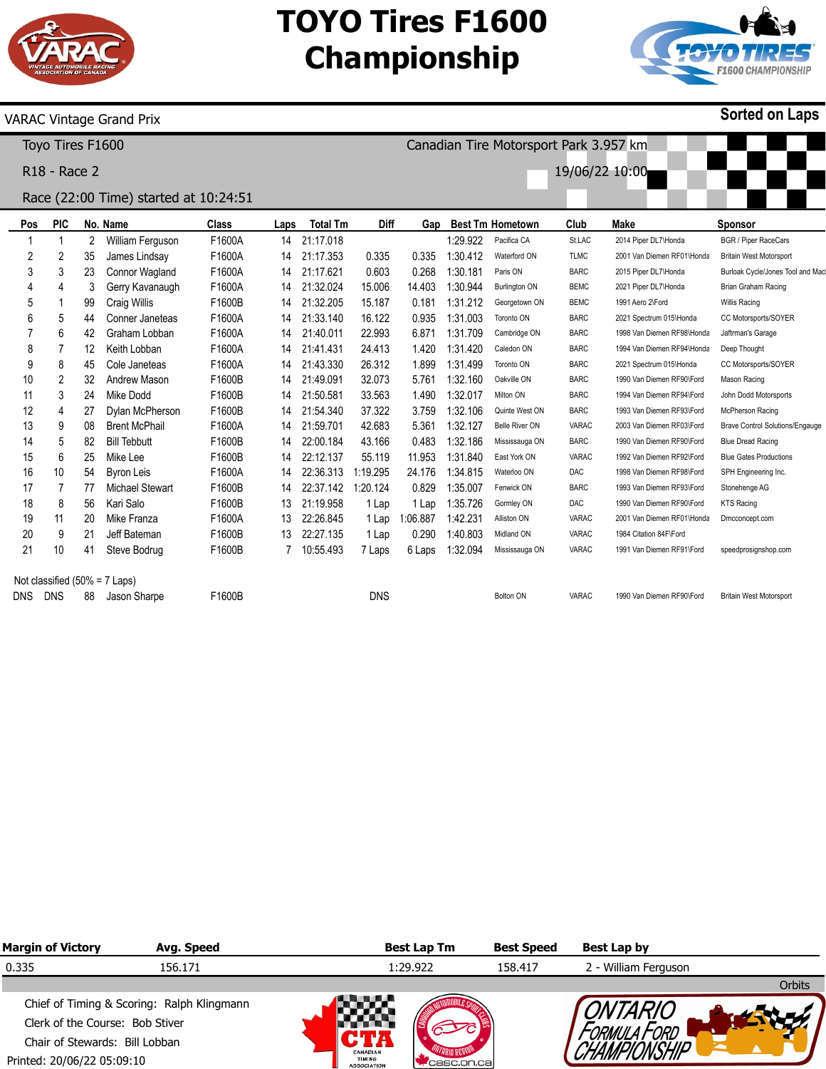

Canadian Tire Motorsport Park 3.957 km

19/06/22 10:00



## VARAC Vintage Grand Prix

Toyo Tires F1600

R18 - Race 2

# Race (22:00 Time) started at 10:24:51

| Pos                              | <b>PIC</b> |    | No. Name               | <b>Class</b> | Laps | <b>Total Tm</b> | Diff       | Gap      |          | <b>Best Tm Hometown</b> | Club        | Make                       | <b>Sponsor</b>                         |
|----------------------------------|------------|----|------------------------|--------------|------|-----------------|------------|----------|----------|-------------------------|-------------|----------------------------|----------------------------------------|
|                                  |            | 2  | William Ferguson       | F1600A       | 14   | 21:17.018       |            |          | 1:29.922 | Pacifica CA             | St.LAC      | 2014 Piper DL7\Honda       | <b>BGR / Piper RaceCars</b>            |
| 2                                | 2          | 35 | James Lindsay          | F1600A       | 14   | 21:17.353       | 0.335      | 0.335    | 1:30.412 | Waterford ON            | <b>TLMC</b> | 2001 Van Diemen RF01\Honda | <b>Britain West Motorsport</b>         |
| 3                                | 3          | 23 | Connor Wagland         | F1600A       | 14   | 21:17.621       | 0.603      | 0.268    | 1:30.181 | Paris ON                | <b>BARC</b> | 2015 Piper DL7\Honda       | Burloak Cycle/Jones Tool and Mac       |
|                                  | 4          | 3  | Gerry Kavanaugh        | F1600A       | 14   | 21:32.024       | 15.006     | 14.403   | 1:30.944 | <b>Burlington ON</b>    | <b>BEMC</b> | 2021 Piper DL7\Honda       | Brian Graham Racing                    |
| 5                                |            | 99 | Craig Willis           | F1600B       | 14   | 21:32.205       | 15.187     | 0.181    | 1:31.212 | Georgetown ON           | <b>BEMC</b> | 1991 Aero 2\Ford           | Willis Racing                          |
| 6                                | 5          | 44 | Conner Janeteas        | F1600A       | 14   | 21:33.140       | 16.122     | 0.935    | 1:31.003 | Toronto ON              | <b>BARC</b> | 2021 Spectrum 015\Honda    | CC Motorsports/SOYER                   |
|                                  | 6          | 42 | Graham Lobban          | F1600A       | 14   | 21:40.011       | 22.993     | 6.871    | 1:31.709 | Cambridge ON            | <b>BARC</b> | 1998 Van Diemen RF98\Honda | Jaftrman's Garage                      |
| 8                                |            | 12 | Keith Lobban           | F1600A       | 14   | 21:41.431       | 24.413     | 1.420    | 1:31.420 | Caledon ON              | <b>BARC</b> | 1994 Van Diemen RF94\Honda | Deep Thought                           |
| 9                                | 8          | 45 | Cole Janeteas          | F1600A       | 14   | 21:43.330       | 26.312     | 1.899    | 1:31.499 | Toronto ON              | <b>BARC</b> | 2021 Spectrum 015\Honda    | CC Motorsports/SOYER                   |
| 10                               | 2          | 32 | Andrew Mason           | F1600B       | 14   | 21:49.091       | 32.073     | 5.761    | 1:32.160 | Oakville ON             | <b>BARC</b> | 1990 Van Diemen RF90\Ford  | Mason Racing                           |
| 11                               | 3          | 24 | Mike Dodd              | F1600B       | 14   | 21:50.581       | 33.563     | 1.490    | 1:32.017 | Milton ON               | <b>BARC</b> | 1994 Van Diemen RF94\Ford  | John Dodd Motorsports                  |
| 12                               | 4          | 27 | Dylan McPherson        | F1600B       | 14   | 21:54.340       | 37.322     | 3.759    | 1:32.106 | Quinte West ON          | <b>BARC</b> | 1993 Van Diemen RF93\Ford  | McPherson Racing                       |
| 13                               | 9          | 08 | <b>Brent McPhail</b>   | F1600A       | 14   | 21:59.701       | 42.683     | 5.361    | 1:32.127 | Belle River ON          | VARAC       | 2003 Van Diemen RF03\Ford  | <b>Brave Control Solutions/Engauge</b> |
| 14                               | 5          | 82 | <b>Bill Tebbutt</b>    | F1600B       | 14   | 22:00.184       | 43.166     | 0.483    | 1:32.186 | Mississauga ON          | <b>BARC</b> | 1990 Van Diemen RF90\Ford  | <b>Blue Dread Racing</b>               |
| 15                               | 6          | 25 | Mike Lee               | F1600B       | 14   | 22:12.137       | 55.119     | 11.953   | 1:31.840 | East York ON            | VARAC       | 1992 Van Diemen RF92\Ford  | <b>Blue Gates Productions</b>          |
| 16                               | 10         | 54 | <b>Byron Leis</b>      | F1600A       | 14   | 22:36.313       | :19.295    | 24.176   | 1:34.815 | Waterloo ON             | <b>DAC</b>  | 1998 Van Diemen RF98\Ford  | SPH Engineering Inc.                   |
| 17                               |            | 77 | <b>Michael Stewart</b> | F1600B       | 14   | 22:37.142       | 1:20.124   | 0.829    | 1:35.007 | Fenwick ON              | <b>BARC</b> | 1993 Van Diemen RF93\Ford  | Stonehenge AG                          |
| 18                               | 8          | 56 | Kari Salo              | F1600B       | 13   | 21:19.958       | 1 Lap      | 1 Lap    | 1:35.726 | Gormley ON              | <b>DAC</b>  | 1990 Van Diemen RF90\Ford  | <b>KTS Racing</b>                      |
| 19                               | 11         | 20 | Mike Franza            | F1600A       | 13   | 22:26.845       | 1 Lap      | 1:06.887 | 1:42.231 | Alliston ON             | VARAC       | 2001 Van Diemen RF01\Honda | Dmcconcept.com                         |
| 20                               | 9          | 21 | Jeff Bateman           | F1600B       | 13   | 22:27.135       | 1 Lap      | 0.290    | 1:40.803 | Midland ON              | VARAC       | 1984 Citation 84F\Ford     |                                        |
| 21                               | 10         | 41 | Steve Bodrug           | F1600B       |      | 10:55.493       | 7 Laps     | 6 Laps   | 1:32.094 | Mississauga ON          | VARAC       | 1991 Van Diemen RF91\Ford  | speedprosignshop.com                   |
| Not classified $(50\% = 7$ Laps) |            |    |                        |              |      |                 |            |          |          |                         |             |                            |                                        |
| <b>DNS</b>                       | <b>DNS</b> | 88 | Jason Sharpe           | F1600B       |      |                 | <b>DNS</b> |          |          | Bolton ON               | VARAC       | 1990 Van Diemen RF90\Ford  | <b>Britain West Motorsport</b>         |

| <b>Margin of Victory</b>        | Avg. Speed                                 |                                                 | <b>Best Lap Tm</b> | <b>Best Speed</b> | Best Lap by          |               |  |  |  |
|---------------------------------|--------------------------------------------|-------------------------------------------------|--------------------|-------------------|----------------------|---------------|--|--|--|
| 0.335                           | 156.171                                    |                                                 | 1:29.922           | 158.417           | 2 - William Ferguson |               |  |  |  |
|                                 |                                            |                                                 |                    |                   |                      | <b>Orbits</b> |  |  |  |
|                                 | Chief of Timing & Scoring: Ralph Klingmann |                                                 |                    |                   |                      |               |  |  |  |
| Clerk of the Course: Bob Stiver |                                            |                                                 |                    |                   |                      |               |  |  |  |
| Chair of Stewards: Bill Lobban  |                                            |                                                 |                    |                   |                      |               |  |  |  |
| Printed: 20/06/22 05:09:10      |                                            | CANADIAN<br><b>TIMING</b><br><b>ASSOCIATION</b> | casc.on.cal        |                   |                      |               |  |  |  |

**Sorted on Laps**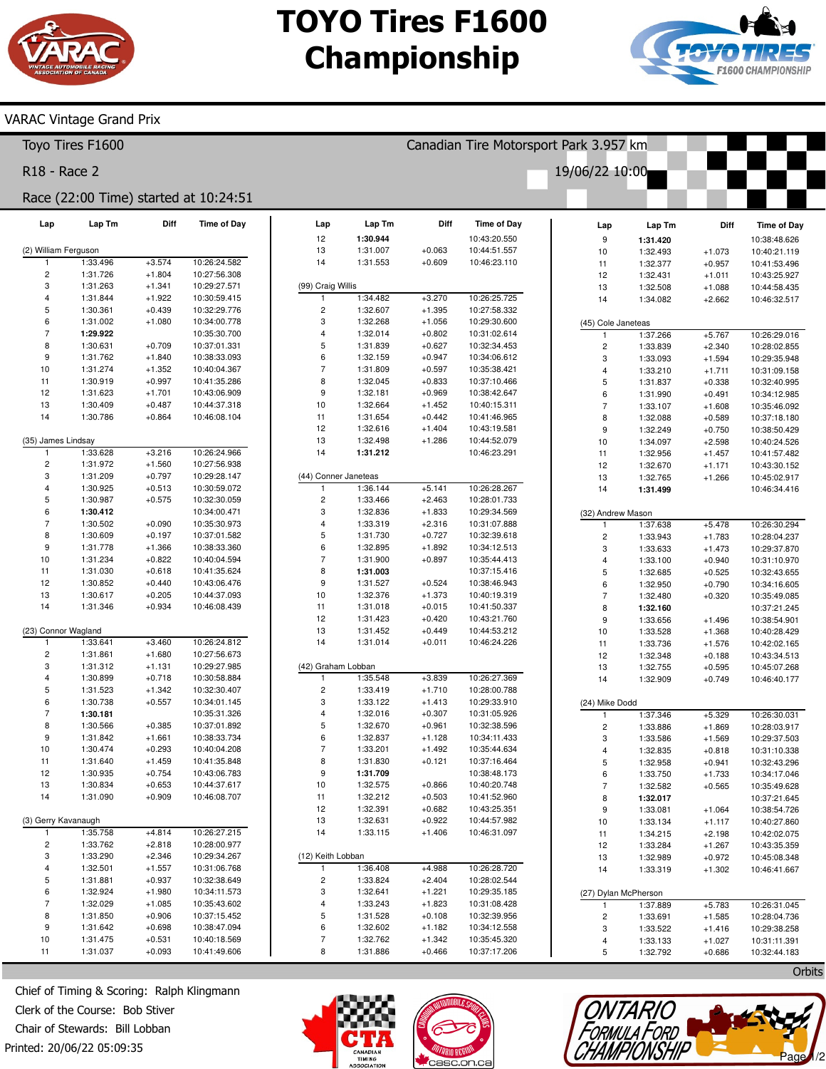Canadian Tire Motorsport Park 3.957 km

19/06/22 10:00



### **VARAC Vintage Grand Prix**

Toyo Tires F1600

R18 - Race 2

# Race (22:00 Time) started at 10:24:51

| Lap                      | Lap Tm               | Diff                 | <b>Time of Day</b>           | Lap                                                  | Lap Tm               | Diff                 | <b>Time of Day</b>           | Lap                          | Lap Tm               | Diff                 | <b>Time of Day</b>           |
|--------------------------|----------------------|----------------------|------------------------------|------------------------------------------------------|----------------------|----------------------|------------------------------|------------------------------|----------------------|----------------------|------------------------------|
|                          |                      |                      |                              | 12                                                   | 1:30.944             |                      | 10:43:20.550                 | $\boldsymbol{9}$             | 1:31.420             |                      | 10:38:48.626                 |
| (2) William Ferguson     |                      |                      |                              | 13                                                   | 1:31.007             | $+0.063$             | 10:44:51.557                 | 10                           | 1:32.493             | $+1.073$             | 10:40:21.119                 |
| 1                        | 1:33.496             | $+3.574$             | 10:26:24.582                 | 14                                                   | 1:31.553             | $+0.609$             | 10:46:23.110                 | 11                           | 1:32.377             | $+0.957$             | 10:41:53.496                 |
| $\mathbf 2$              | 1:31.726             | $+1.804$             | 10:27:56.308                 |                                                      |                      |                      |                              | 12                           | 1:32.431             | $+1.011$             | 10:43:25.927                 |
| 3                        | 1:31.263             | $+1.341$             | 10:29:27.571                 | (99) Craig Willis                                    |                      |                      |                              | 13                           | 1:32.508             | $+1.088$             | 10:44:58.435                 |
| $\sqrt{4}$<br>$\sqrt{5}$ | 1:31.844             | $+1.922$             | 10:30:59.415                 | 1                                                    | 1:34.482             | $+3.270$             | 10:26:25.725                 | 14                           | 1:34.082             | $+2.662$             | 10:46:32.517                 |
| 6                        | 1:30.361             | $+0.439$             | 10:32:29.776                 | $\overline{\mathbf{c}}$<br>$\ensuremath{\mathsf{3}}$ | 1:32.607             | $+1.395$             | 10:27:58.332                 |                              |                      |                      |                              |
| $\overline{7}$           | 1:31.002<br>1:29.922 | $+1.080$             | 10:34:00.778<br>10:35:30.700 | $\sqrt{4}$                                           | 1:32.268<br>1:32.014 | $+1.056$<br>$+0.802$ | 10:29:30.600<br>10:31:02.614 | (45) Cole Janeteas           |                      |                      |                              |
| 8                        | 1:30.631             | $+0.709$             | 10:37:01.331                 | $\sqrt{5}$                                           | 1:31.839             | $+0.627$             | 10:32:34.453                 | 1<br>$\overline{\mathbf{c}}$ | 1:37.266<br>1:33.839 | $+5.767$<br>$+2.340$ | 10:26:29.016<br>10:28:02.855 |
| 9                        | 1:31.762             | $+1.840$             | 10:38:33.093                 | $\,6\,$                                              | 1:32.159             | $+0.947$             | 10:34:06.612                 | $\sqrt{3}$                   | 1:33.093             | $+1.594$             | 10:29:35.948                 |
| 10                       | 1:31.274             | $+1.352$             | 10:40:04.367                 | $\overline{7}$                                       | 1:31.809             | $+0.597$             | 10:35:38.421                 | $\overline{\mathbf{4}}$      | 1:33.210             | $+1.711$             | 10:31:09.158                 |
| 11                       | 1:30.919             | $+0.997$             | 10:41:35.286                 | 8                                                    | 1:32.045             | $+0.833$             | 10:37:10.466                 | $\overline{5}$               | 1:31.837             | $+0.338$             | 10:32:40.995                 |
| 12                       | 1:31.623             | $+1.701$             | 10:43:06.909                 | $\boldsymbol{9}$                                     | 1:32.181             | $+0.969$             | 10:38:42.647                 | 6                            | 1:31.990             | $+0.491$             | 10:34:12.985                 |
| 13                       | 1:30.409             | $+0.487$             | 10:44:37.318                 | 10                                                   | 1:32.664             | $+1.452$             | 10:40:15.311                 | $\overline{7}$               | 1:33.107             | $+1.608$             | 10:35:46.092                 |
| 14                       | 1:30.786             | $+0.864$             | 10:46:08.104                 | 11                                                   | 1:31.654             | $+0.442$             | 10:41:46.965                 | 8                            | 1:32.088             | $+0.589$             | 10:37:18.180                 |
|                          |                      |                      |                              | 12                                                   | 1:32.616             | $+1.404$             | 10:43:19.581                 | $\boldsymbol{9}$             | 1:32.249             | $+0.750$             | 10:38:50.429                 |
| (35) James Lindsay       |                      |                      |                              | 13                                                   | 1:32.498             | $+1.286$             | 10:44:52.079                 | 10                           | 1:34.097             | $+2.598$             | 10:40:24.526                 |
| $\mathbf{1}$             | 1:33.628             | $+3.216$             | 10:26:24.966                 | 14                                                   | 1:31.212             |                      | 10:46:23.291                 | 11                           | 1:32.956             | $+1.457$             | 10:41:57.482                 |
| $\overline{c}$           | 1:31.972             | $+1.560$             | 10:27:56.938                 |                                                      |                      |                      |                              | 12                           | 1:32.670             | $+1.171$             | 10:43:30.152                 |
| 3                        | 1:31.209             | $+0.797$             | 10:29:28.147                 |                                                      | (44) Conner Janeteas |                      |                              | 13                           | 1:32.765             | $+1.266$             | 10:45:02.917                 |
| $\overline{4}$           | 1:30.925             | $+0.513$             | 10:30:59.072                 | 1                                                    | 1:36.144             | $+5.141$             | 10:26:28.267                 | 14                           | 1:31.499             |                      | 10:46:34.416                 |
| $\sqrt{5}$               | 1:30.987             | $+0.575$             | 10:32:30.059                 | $\sqrt{2}$                                           | 1:33.466             | $+2.463$             | 10:28:01.733                 |                              |                      |                      |                              |
| 6                        | 1:30.412             |                      | 10:34:00.471                 | 3                                                    | 1:32.836             | $+1.833$             | 10:29:34.569                 | (32) Andrew Mason            |                      |                      |                              |
| $\overline{7}$           | 1:30.502             | $+0.090$             | 10:35:30.973                 | $\overline{4}$                                       | 1:33.319             | $+2.316$             | 10:31:07.888                 | 1                            | 1:37.638             | $+5.478$             | 10:26:30.294                 |
| 8                        | 1:30.609             | $+0.197$             | 10:37:01.582                 | 5                                                    | 1:31.730             | $+0.727$             | 10:32:39.618                 | $\overline{c}$               | 1:33.943             | $+1.783$             | 10:28:04.237                 |
| $\boldsymbol{9}$         | 1:31.778             | $+1.366$             | 10:38:33.360                 | 6                                                    | 1:32.895             | $+1.892$             | 10:34:12.513                 | $\sqrt{3}$                   | 1:33.633             | $+1.473$             | 10:29:37.870                 |
| 10                       | 1:31.234             | $+0.822$             | 10:40:04.594                 | $\overline{7}$                                       | 1:31.900             | $+0.897$             | 10:35:44.413                 | $\overline{4}$               | 1:33.100             | $+0.940$             | 10:31:10.970                 |
| 11                       | 1:31.030             | $+0.618$             | 10:41:35.624                 | 8                                                    | 1:31.003             |                      | 10:37:15.416                 | $\overline{5}$               | 1:32.685             | $+0.525$             | 10:32:43.655                 |
| 12                       | 1:30.852             | $+0.440$             | 10:43:06.476                 | $\boldsymbol{9}$                                     | 1:31.527             | $+0.524$             | 10:38:46.943                 | $\,6\,$                      | 1:32.950             | $+0.790$             | 10:34:16.605                 |
| 13                       | 1:30.617             | $+0.205$             | 10:44:37.093                 | 10                                                   | 1:32.376             | $+1.373$             | 10:40:19.319                 | $\overline{7}$               | 1:32.480             | $+0.320$             | 10:35:49.085                 |
| 14                       | 1:31.346             | $+0.934$             | 10:46:08.439                 | 11                                                   | 1:31.018             | $+0.015$             | 10:41:50.337                 | 8                            | 1:32.160             |                      | 10:37:21.245                 |
|                          |                      |                      |                              | 12                                                   | 1:31.423             | $+0.420$             | 10:43:21.760                 | $\boldsymbol{9}$             | 1:33.656             | $+1.496$             | 10:38:54.901                 |
| (23) Connor Wagland      |                      |                      |                              | 13                                                   | 1:31.452             | $+0.449$             | 10:44:53.212                 | 10                           | 1:33.528             | $+1.368$             | 10:40:28.429                 |
| $\mathbf{1}$             | 1:33.641             | $+3.460$             | 10:26:24.812                 | 14                                                   | 1:31.014             | $+0.011$             | 10:46:24.226                 | 11                           | 1:33.736             | $+1.576$             | 10:42:02.165                 |
| $\overline{c}$           | 1:31.861             | $+1.680$             | 10:27:56.673                 |                                                      |                      |                      |                              | 12                           | 1:32.348             | $+0.188$             | 10:43:34.513                 |
| 3                        | 1:31.312             | $+1.131$             | 10:29:27.985                 | (42) Graham Lobban                                   |                      |                      |                              | 13                           | 1:32.755             | $+0.595$             | 10:45:07.268                 |
| $\overline{4}$           | 1:30.899             | $+0.718$             | 10:30:58.884                 | $\overline{1}$                                       | 1:35.548             | $+3.839$             | 10:26:27.369                 | 14                           | 1:32.909             | $+0.749$             | 10:46:40.177                 |
| 5                        | 1:31.523             | $+1.342$             | 10:32:30.407                 | $\overline{\mathbf{c}}$                              | 1:33.419             | $+1.710$             | 10:28:00.788                 |                              |                      |                      |                              |
| 6                        | 1:30.738             | $+0.557$             | 10:34:01.145                 | 3                                                    | 1:33.122             | $+1.413$             | 10:29:33.910                 | (24) Mike Dodd               |                      |                      |                              |
| $\overline{7}$           | 1:30.181             |                      | 10:35:31.326                 | $\overline{4}$                                       | 1:32.016             | $+0.307$             | 10:31:05.926                 | 1                            | 1:37.346             | $+5.329$             | 10:26:30.031                 |
| 8                        | 1:30.566             | $+0.385$             | 10:37:01.892                 | $\sqrt{5}$                                           | 1:32.670             | $+0.961$             | 10:32:38.596                 | $\overline{c}$               | 1:33.886             | $+1.869$             | 10:28:03.917                 |
| $\boldsymbol{9}$         | 1:31.842             | $+1.661$             | 10:38:33.734<br>10:40:04.208 | 6<br>$\overline{7}$                                  | 1:32.837             | $+1.128$             | 10:34:11.433                 | 3                            | 1:33.586             | $+1.569$             | 10:29:37.503                 |
| 10<br>11                 | 1:30.474<br>1:31.640 | $+0.293$<br>$+1.459$ |                              | 8                                                    | 1:33.201             | $+1.492$<br>$+0.121$ | 10:35:44.634                 | $\overline{\mathbf{4}}$      | 1:32.835             | $+0.818$             | 10:31:10.338                 |
| 12                       | 1:30.935             | $+0.754$             | 10:41:35.848<br>10:43:06.783 | $\boldsymbol{9}$                                     | 1:31.830<br>1:31.709 |                      | 10:37:16.464<br>10:38:48.173 | $\overline{5}$               | 1:32.958             | $+0.941$             | 10:32:43.296                 |
| 13                       | 1:30.834             | $+0.653$             | 10:44:37.617                 | 10                                                   | 1:32.575             | $+0.866$             | 10:40:20.748                 | 6<br>$\overline{7}$          | 1:33.750             | $+1.733$             | 10:34:17.046                 |
| 14                       | 1:31.090             | $+0.909$             | 10:46:08.707                 | 11                                                   | 1:32.212             | $+0.503$             | 10:41:52.960                 | 8                            | 1:32.582             | $+0.565$             | 10:35:49.628                 |
|                          |                      |                      |                              | 12                                                   | 1:32.391             | $+0.682$             | 10:43:25.351                 | $\overline{9}$               | 1:32.017<br>1:33.081 | $+1.064$             | 10:37:21.645<br>10:38:54.726 |
| (3) Gerry Kavanaugh      |                      |                      |                              | 13                                                   | 1:32.631             | $+0.922$             | 10:44:57.982                 | 10                           |                      |                      |                              |
| $\mathbf{1}$             | 1:35.758             | $+4.814$             | 10:26:27.215                 | 14                                                   | 1:33.115             | $+1.406$             | 10:46:31.097                 | 11                           | 1:33.134<br>1:34.215 | $+1.117$<br>$+2.198$ | 10:40:27.860<br>10:42:02.075 |
| $\mathbf 2$              | 1:33.762             | $+2.818$             | 10:28:00.977                 |                                                      |                      |                      |                              | 12                           | 1:33.284             | $+1.267$             | 10:43:35.359                 |
| 3                        | 1:33.290             | $+2.346$             | 10:29:34.267                 | (12) Keith Lobban                                    |                      |                      |                              | 13                           | 1:32.989             | $+0.972$             | 10:45:08.348                 |
| $\overline{\mathbf{4}}$  | 1:32.501             | $+1.557$             | 10:31:06.768                 | 1                                                    | 1:36.408             | $+4.988$             | 10:26:28.720                 | 14                           | 1:33.319             | $+1.302$             | 10:46:41.667                 |
| 5                        | 1:31.881             | $+0.937$             | 10:32:38.649                 | $\overline{\mathbf{c}}$                              | 1:33.824             | $+2.404$             | 10:28:02.544                 |                              |                      |                      |                              |
| 6                        | 1:32.924             | $+1.980$             | 10:34:11.573                 | 3                                                    | 1:32.641             | $+1.221$             | 10:29:35.185                 | (27) Dylan McPherson         |                      |                      |                              |
| $\overline{7}$           | 1:32.029             | $+1.085$             | 10:35:43.602                 | 4                                                    | 1:33.243             | $+1.823$             | 10:31:08.428                 | 1                            | 1:37.889             | $+5.783$             | 10:26:31.045                 |
| 8                        | 1:31.850             | $+0.906$             | 10:37:15.452                 | 5                                                    | 1:31.528             | $+0.108$             | 10:32:39.956                 | $\overline{\mathbf{c}}$      | 1:33.691             | $+1.585$             | 10:28:04.736                 |
| 9                        | 1:31.642             | $+0.698$             | 10:38:47.094                 | 6                                                    | 1:32.602             | $+1.182$             | 10:34:12.558                 | 3                            | 1:33.522             | $+1.416$             | 10:29:38.258                 |
| 10                       | 1:31.475             | $+0.531$             | 10:40:18.569                 | $\overline{7}$                                       | 1:32.762             | $+1.342$             | 10:35:45.320                 | 4                            | 1:33.133             | $+1.027$             | 10:31:11.391                 |
| 11                       | 1:31.037             | $+0.093$             | 10:41:49.606                 | 8                                                    | 1:31.886             | $+0.466$             | 10:37:17.206                 | 5                            | 1:32.792             | $+0.686$             | 10:32:44.183                 |
|                          |                      |                      |                              |                                                      |                      |                      |                              |                              |                      |                      |                              |

Chief of Timing & Scoring: Ralph Klingmann Clerk of the Course: Bob Stiver Chair of Stewards: Bill Lobban Printed: 20/06/22 05:09:35







Page

*ONTARIO<br>FORMULA FORD<br>HAMPIONSHI*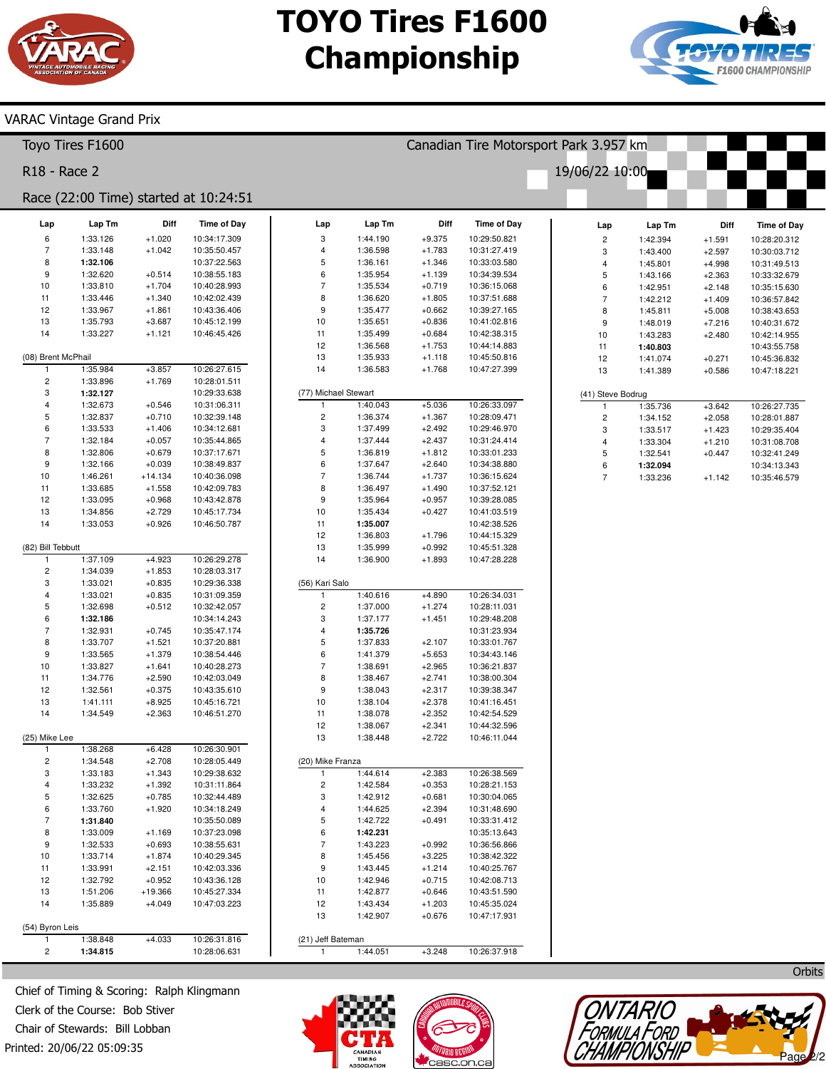

Canadian Tire Motorsport Park 3.957 km

19/06/22 10:00



#### VARAC Vintage Grand Prix

| Toyo Tires F1600             |
|------------------------------|
| R <sub>18</sub> - Race 2     |
| Race (22:00 Time) started at |

|                              |                      |                      | Race (22:00 Time) started at 10:24:51 |                                      |                      |                      |                              |                         |                      |                      |                              |
|------------------------------|----------------------|----------------------|---------------------------------------|--------------------------------------|----------------------|----------------------|------------------------------|-------------------------|----------------------|----------------------|------------------------------|
| Lap                          | Lap Tm               | Diff                 | <b>Time of Day</b>                    | Lap                                  | Lap Tm               | Diff                 | <b>Time of Day</b>           | Lap                     | Lap Tm               | Diff                 | <b>Time of Day</b>           |
| 6                            | 1:33.126             | $+1.020$             | 10:34:17.309                          | 3                                    | 1:44.190             | $+9.375$             | 10:29:50.821                 | $\overline{c}$          | 1:42.394             | $+1.591$             | 10:28:20.312                 |
| $\overline{7}$               | 1:33.148             | $+1.042$             | 10:35:50.457                          | 4                                    | 1:36.598             | $+1.783$             | 10:31:27.419                 | 3                       | 1:43.400             | $+2.597$             | 10:30:03.712                 |
| 8                            | 1:32.106             |                      | 10:37:22.563                          | 5                                    | 1:36.161             | $+1.346$             | 10:33:03.580                 | 4                       | 1:45.801             | $+4.998$             | 10:31:49.513                 |
| $\boldsymbol{9}$             | 1:32.620<br>1:33.810 | $+0.514$             | 10:38:55.183<br>10:40:28.993          | 6<br>$\overline{7}$                  | 1:35.954<br>1:35.534 | $+1.139$<br>$+0.719$ | 10:34:39.534<br>10:36:15.068 | 5                       | 1:43.166             | $+2.363$             | 10:33:32.679                 |
| 10<br>11                     | 1:33.446             | $+1.704$<br>$+1.340$ | 10:42:02.439                          | 8                                    | 1:36.620             | $+1.805$             | 10:37:51.688                 | 6<br>$\overline{7}$     | 1:42.951<br>1:42.212 | $+2.148$<br>$+1.409$ | 10:35:15.630<br>10:36:57.842 |
| 12                           | 1:33.967             | $+1.861$             | 10:43:36.406                          | 9                                    | 1:35.477             | $+0.662$             | 10:39:27.165                 | 8                       | 1:45.811             | $+5.008$             | 10:38:43.653                 |
| 13                           | 1:35.793             | $+3.687$             | 10:45:12.199                          | 10                                   | 1:35.651             | $+0.836$             | 10:41:02.816                 | 9                       | 1:48.019             | $+7.216$             | 10:40:31.672                 |
| 14                           | 1:33.227             | $+1.121$             | 10:46:45.426                          | 11                                   | 1:35.499             | $+0.684$             | 10:42:38.315                 | 10                      | 1:43.283             | $+2.480$             | 10:42:14.955                 |
|                              |                      |                      |                                       | 12                                   | 1:36.568             | $+1.753$             | 10:44:14.883                 | 11                      | 1:40.803             |                      | 10:43:55.758                 |
| (08) Brent McPhail           |                      |                      |                                       | 13                                   | 1:35.933             | $+1.118$             | 10:45:50.816                 | 12                      | 1:41.074             | $+0.271$             | 10:45:36.832                 |
| -1                           | 1:35.984             | $+3.857$             | 10:26:27.615                          | 14                                   | 1:36.583             | $+1.768$             | 10:47:27.399                 | 13                      | 1:41.389             | $+0.586$             | 10:47:18.221                 |
| $\overline{\mathbf{c}}$<br>3 | 1:33.896<br>1:32.127 | $+1.769$             | 10:28:01.511<br>10:29:33.638          |                                      |                      |                      |                              |                         |                      |                      |                              |
| $\overline{\mathbf{4}}$      | 1:32.673             | $+0.546$             | 10:31:06.311                          | (77) Michael Stewart<br>$\mathbf{1}$ | 1:40.043             | $+5.036$             | 10:26:33.097                 | (41) Steve Bodrug<br>-1 | 1:35.736             | $+3.642$             | 10:26:27.735                 |
| 5                            | 1:32.837             | $+0.710$             | 10:32:39.148                          | 2                                    | 1:36.374             | $+1.367$             | 10:28:09.471                 | $\overline{c}$          | 1:34.152             | $+2.058$             | 10:28:01.887                 |
| 6                            | 1:33.533             | $+1.406$             | 10:34:12.681                          | 3                                    | 1:37.499             | $+2.492$             | 10:29:46.970                 | 3                       | 1:33.517             | $+1.423$             | 10:29:35.404                 |
| $\overline{7}$               | 1:32.184             | $+0.057$             | 10:35:44.865                          | 4                                    | 1:37.444             | $+2.437$             | 10:31:24.414                 | 4                       | 1:33.304             | $+1.210$             | 10:31:08.708                 |
| 8                            | 1:32.806             | $+0.679$             | 10:37:17.671                          | 5                                    | 1:36.819             | $+1.812$             | 10:33:01.233                 | 5                       | 1:32.541             | $+0.447$             | 10:32:41.249                 |
| 9                            | 1:32.166             | $+0.039$             | 10:38:49.837                          | 6                                    | 1:37.647             | $+2.640$             | 10:34:38.880                 | 6                       | 1:32.094             |                      | 10:34:13.343                 |
| 10                           | 1:46.261             | $+14.134$            | 10:40:36.098                          | $\overline{7}$                       | 1:36.744             | $+1.737$             | 10:36:15.624                 | $\overline{7}$          | 1:33.236             | $+1.142$             | 10:35:46.579                 |
| 11                           | 1:33.685             | $+1.558$             | 10:42:09.783                          | 8                                    | 1:36.497             | $+1.490$             | 10:37:52.121                 |                         |                      |                      |                              |
| 12                           | 1:33.095             | $+0.968$             | 10:43:42.878                          | 9                                    | 1:35.964             | $+0.957$             | 10:39:28.085                 |                         |                      |                      |                              |
| 13                           | 1:34.856             | $+2.729$             | 10:45:17.734                          | 10                                   | 1:35.434             | $+0.427$             | 10:41:03.519                 |                         |                      |                      |                              |
| 14                           | 1:33.053             | $+0.926$             | 10:46:50.787                          | 11                                   | 1:35.007             |                      | 10:42:38.526<br>10:44:15.329 |                         |                      |                      |                              |
| (82) Bill Tebbutt            |                      |                      |                                       | 12<br>13                             | 1:36.803<br>1:35.999 | $+1.796$<br>$+0.992$ | 10:45:51.328                 |                         |                      |                      |                              |
| -1                           | 1:37.109             | $+4.923$             | 10:26:29.278                          | 14                                   | 1:36.900             | $+1.893$             | 10:47:28.228                 |                         |                      |                      |                              |
| $\overline{\mathbf{c}}$      | 1:34.039             | $+1.853$             | 10:28:03.317                          |                                      |                      |                      |                              |                         |                      |                      |                              |
| 3                            | 1:33.021             | $+0.835$             | 10:29:36.338                          | (56) Kari Salo                       |                      |                      |                              |                         |                      |                      |                              |
| $\overline{\mathbf{4}}$      | 1:33.021             | $+0.835$             | 10:31:09.359                          | $\mathbf{1}$                         | 1:40.616             | $+4.890$             | 10:26:34.031                 |                         |                      |                      |                              |
| 5                            | 1:32.698             | $+0.512$             | 10:32:42.057                          | $\overline{\mathbf{c}}$              | 1:37.000             | $+1.274$             | 10:28:11.031                 |                         |                      |                      |                              |
| 6                            | 1:32.186             |                      | 10:34:14.243                          | 3                                    | 1:37.177             | $+1.451$             | 10:29:48.208                 |                         |                      |                      |                              |
| $\overline{7}$               | 1:32.931             | $+0.745$             | 10:35:47.174                          | 4                                    | 1:35.726             |                      | 10:31:23.934                 |                         |                      |                      |                              |
| 8                            | 1:33.707             | $+1.521$             | 10:37:20.881                          | 5                                    | 1:37.833             | $+2.107$             | 10:33:01.767                 |                         |                      |                      |                              |
| 9                            | 1:33.565             | $+1.379$             | 10:38:54.446                          | 6                                    | 1:41.379             | $+5.653$             | 10:34:43.146                 |                         |                      |                      |                              |
| 10                           | 1:33.827             | $+1.641$             | 10:40:28.273                          | $\overline{7}$                       | 1:38.691             | $+2.965$             | 10:36:21.837                 |                         |                      |                      |                              |
| 11                           | 1:34.776<br>1:32.561 | $+2.590$             | 10:42:03.049<br>10:43:35.610          | 8<br>9                               | 1:38.467<br>1:38.043 | $+2.741$             | 10:38:00.304<br>10:39:38.347 |                         |                      |                      |                              |
| 12<br>13                     | 1:41.111             | $+0.375$<br>$+8.925$ | 10:45:16.721                          | $10$                                 | 1:38.104             | $+2.317$<br>$+2.378$ | 10:41:16.451                 |                         |                      |                      |                              |
| 14                           | 1:34.549             | $+2.363$             | 10:46:51.270                          | 11                                   | 1:38.078             | $+2.352$             | 10:42:54.529                 |                         |                      |                      |                              |
|                              |                      |                      |                                       | 12                                   | 1:38.067             | $+2.341$             | 10:44:32.596                 |                         |                      |                      |                              |
| (25) Mike Lee                |                      |                      |                                       | 13                                   | 1:38.448             | $+2.722$             | 10:46:11.044                 |                         |                      |                      |                              |
| $\mathbf{1}$                 | 1:38.268             | $+6.428$             | 10:26:30.901                          |                                      |                      |                      |                              |                         |                      |                      |                              |
| $\mathbf 2$                  | 1:34.548             | $+2.708$             | 10:28:05.449                          | (20) Mike Franza                     |                      |                      |                              |                         |                      |                      |                              |
| 3                            | 1:33.183             | $+1.343$             | 10:29:38.632                          | $\overline{1}$                       | 1:44.614             | $+2.383$             | 10:26:38.569                 |                         |                      |                      |                              |
| $\overline{4}$               | 1:33.232             | $+1.392$             | 10:31:11.864                          | $\overline{\mathbf{c}}$              | 1:42.584             | $+0.353$             | 10:28:21.153                 |                         |                      |                      |                              |
| 5                            | 1:32.625             | $+0.785$             | 10:32:44.489                          | 3                                    | 1:42.912             | $+0.681$             | 10:30:04.065                 |                         |                      |                      |                              |
| 6                            | 1:33.760             | $+1.920$             | 10:34:18.249                          | $\overline{4}$                       | 1:44.625             | $+2.394$             | 10:31:48.690                 |                         |                      |                      |                              |
| $\overline{7}$               | 1:31.840             |                      | 10:35:50.089                          | 5                                    | 1:42.722             | $+0.491$             | 10:33:31.412                 |                         |                      |                      |                              |
| 8<br>9                       | 1:33.009<br>1:32.533 | $+1.169$<br>$+0.693$ | 10:37:23.098<br>10:38:55.631          | 6<br>7                               | 1:42.231<br>1:43.223 | $+0.992$             | 10:35:13.643<br>10:36:56.866 |                         |                      |                      |                              |
| 10                           | 1:33.714             | $+1.874$             | 10:40:29.345                          | 8                                    | 1:45.456             | $+3.225$             | 10:38:42.322                 |                         |                      |                      |                              |
| 11                           | 1:33.991             | $+2.151$             | 10:42:03.336                          | 9                                    | 1:43.445             | $+1.214$             | 10:40:25.767                 |                         |                      |                      |                              |
| 12                           | 1:32.792             | $+0.952$             | 10:43:36.128                          | 10                                   | 1:42.946             | $+0.715$             | 10:42:08.713                 |                         |                      |                      |                              |
| 13                           | 1:51.206             | +19.366              | 10:45:27.334                          | 11                                   | 1:42.877             | $+0.646$             | 10:43:51.590                 |                         |                      |                      |                              |
| 14                           | 1:35.889             | $+4.049$             | 10:47:03.223                          | 12                                   | 1:43.434             | $+1.203$             | 10:45:35.024                 |                         |                      |                      |                              |
|                              |                      |                      |                                       | 13                                   | 1:42.907             | $+0.676$             | 10:47:17.931                 |                         |                      |                      |                              |
| (54) Byron Leis              |                      |                      |                                       |                                      |                      |                      |                              |                         |                      |                      |                              |
| $\mathbf{1}$                 | 1:38.848             | $+4.033$             | 10:26:31.816                          | (21) Jeff Bateman                    |                      |                      |                              |                         |                      |                      |                              |
| $\sqrt{2}$                   | 1:34.815             |                      | 10:28:06.631                          | $\mathbf{1}$                         | 1:44.051             | $+3.248$             | 10:26:37.918                 |                         |                      |                      |                              |
|                              |                      |                      |                                       |                                      |                      |                      |                              |                         |                      |                      | Orbits                       |

Printed: 20/06/22 05:09:35 Chief of Timing & Scoring: Ralph Klingmann Clerk of the Course: Bob Stiver Chair of Stewards: Bill Lobban